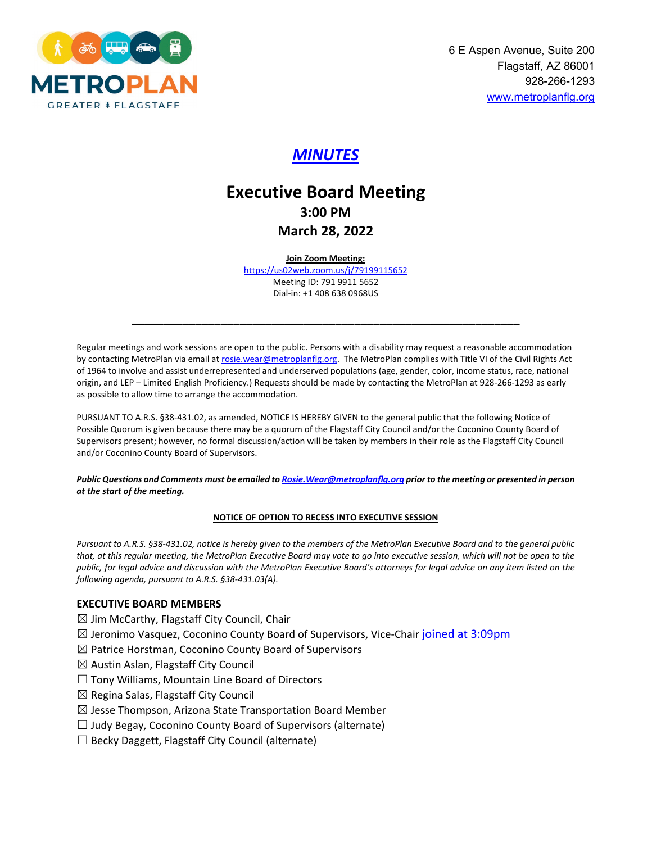

## *MINUTES*

# **Executive Board Meeting 3:00 PM March 28, 2022**

**Join Zoom Meeting:** 

<https://us02web.zoom.us/j/79199115652> Meeting ID: 791 9911 5652 Dial-in: +1 408 638 0968US

**\_\_\_\_\_\_\_\_\_\_\_\_\_\_\_\_\_\_\_\_\_\_\_\_\_\_\_\_\_\_\_\_\_\_\_\_\_\_\_\_\_\_\_\_\_\_\_\_\_\_\_\_\_\_\_\_\_\_\_\_\_**

Regular meetings and work sessions are open to the public. Persons with a disability may request a reasonable accommodation by contacting MetroPlan via email at rosie.wear@metroplanflg.org. The MetroPlan complies with Title VI of the Civil Rights Act of 1964 to involve and assist underrepresented and underserved populations (age, gender, color, income status, race, national origin, and LEP – Limited English Proficiency.) Requests should be made by contacting the MetroPlan at 928-266-1293 as early as possible to allow time to arrange the accommodation.

PURSUANT TO A.R.S. §38-431.02, as amended, NOTICE IS HEREBY GIVEN to the general public that the following Notice of Possible Quorum is given because there may be a quorum of the Flagstaff City Council and/or the Coconino County Board of Supervisors present; however, no formal discussion/action will be taken by members in their role as the Flagstaff City Council and/or Coconino County Board of Supervisors.

*Public Questions and Comments must be emailed t[o Rosie.Wear@metroplanflg.org](mailto:Rosie.Wear@metroplanflg.org) prior to the meeting or presented in person at the start of the meeting.* 

#### **NOTICE OF OPTION TO RECESS INTO EXECUTIVE SESSION**

*Pursuant to A.R.S. §38-431.02, notice is hereby given to the members of the MetroPlan Executive Board and to the general public that, at this regular meeting, the MetroPlan Executive Board may vote to go into executive session, which will not be open to the public, for legal advice and discussion with the MetroPlan Executive Board's attorneys for legal advice on any item listed on the following agenda, pursuant to A.R.S. §38-431.03(A).* 

#### **EXECUTIVE BOARD MEMBERS**

- $\boxtimes$  Jim McCarthy, Flagstaff City Council, Chair
- $\boxtimes$  Jeronimo Vasquez, Coconino County Board of Supervisors, Vice-Chair joined at 3:09pm
- $\boxtimes$  Patrice Horstman, Coconino County Board of Supervisors
- $\boxtimes$  Austin Aslan, Flagstaff City Council
- $\Box$  Tony Williams, Mountain Line Board of Directors
- $\boxtimes$  Regina Salas, Flagstaff City Council
- $\boxtimes$  Jesse Thompson, Arizona State Transportation Board Member
- $\Box$  Judy Begay, Coconino County Board of Supervisors (alternate)
- $\Box$  Becky Daggett, Flagstaff City Council (alternate)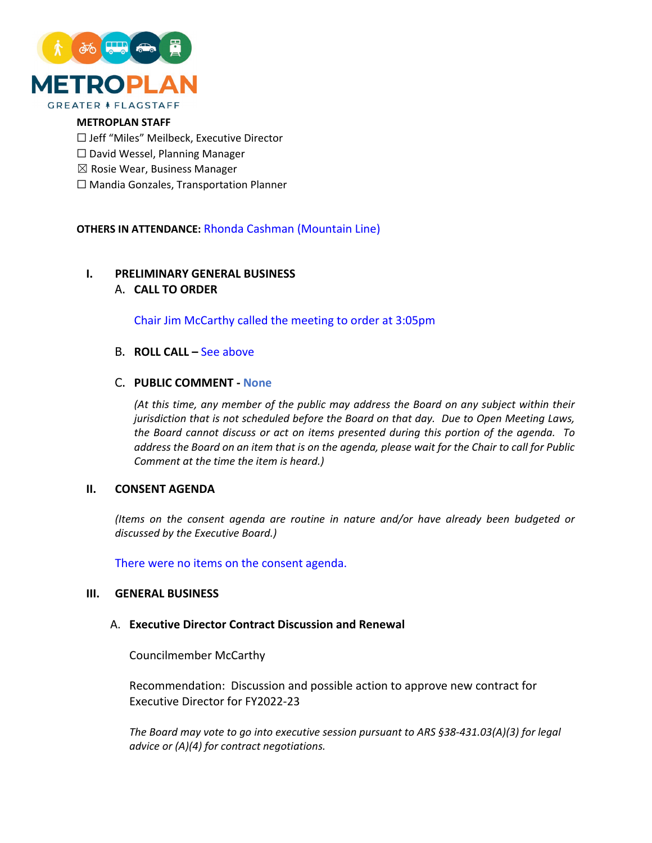

#### **METROPLAN STAFF**

- ☐ Jeff "Miles" Meilbeck, Executive Director
- ☐ David Wessel, Planning Manager
- $\boxtimes$  Rosie Wear, Business Manager
- ☐ Mandia Gonzales, Transportation Planner

#### **OTHERS IN ATTENDANCE:** Rhonda Cashman (Mountain Line)

#### **I. PRELIMINARY GENERAL BUSINESS**

#### A. **CALL TO ORDER**

Chair Jim McCarthy called the meeting to order at 3:05pm

#### B. **ROLL CALL –** See above

#### C. **PUBLIC COMMENT - None**

*(At this time, any member of the public may address the Board on any subject within their jurisdiction that is not scheduled before the Board on that day. Due to Open Meeting Laws, the Board cannot discuss or act on items presented during this portion of the agenda. To address the Board on an item that is on the agenda, please wait for the Chair to call for Public Comment at the time the item is heard.)*

#### **II. CONSENT AGENDA**

*(Items on the consent agenda are routine in nature and/or have already been budgeted or discussed by the Executive Board.)*

There were no items on the consent agenda.

#### **III. GENERAL BUSINESS**

#### A. **Executive Director Contract Discussion and Renewal**

Councilmember McCarthy

Recommendation: Discussion and possible action to approve new contract for Executive Director for FY2022-23

*The Board may vote to go into executive session pursuant to ARS §38-431.03(A)(3) for legal advice or (A)(4) for contract negotiations.*